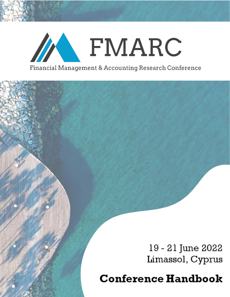

ļ

Financial Management & Accounting Research Conference

19 - 21 June 2022 Limassol, Cyprus Conference Handbook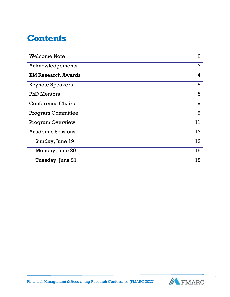## **Contents**

| <b>Welcome Note</b>       | $\mathbf{2}$ |
|---------------------------|--------------|
| Acknowledgements          | 3            |
| <b>XM Research Awards</b> | 4            |
| <b>Keynote Speakers</b>   | 5            |
| <b>PhD Mentors</b>        | 8            |
| <b>Conference Chairs</b>  | 9            |
| <b>Program Committee</b>  | 9            |
| <b>Program Overview</b>   | 11           |
| <b>Academic Sessions</b>  | 13           |
| Sunday, June 19           | 13           |
| Monday, June 20           | 15           |
| Tuesday, June 21          | 18           |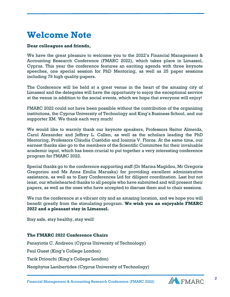## **Welcome Note**

Ĩ

### **Dear colleagues and friends,**

We have the great pleasure to welcome you to the 2022's Financial Management & Accounting Research Conference (FMARC 2022), which takes place in Limassol, Cyprus. This year the conference features an exciting agenda with three keynote speeches, one special session for PhD Mentoring, as well as 25 paper sessions including 79 high quality-papers.

The Conference will be held at a great venue in the heart of the amazing city of Limassol and the delegates will have the opportunity to enjoy the exceptional service at the venue in addition to the social events, which we hope that everyone will enjoy!

FMARC 2022 could not have been possible without the contribution of the organizing institutions, the Cyprus University of Technology and King's Business School, and our supporter XM. We thank each very much!

We would like to warmly thank our keynote speakers, Professors Heitor Almeida, Carol Alexander and Jeffrey L. Callen, as well as the scholars leading the PhD Mentoring, Professors Cláudia Custódio and Ioannis V. Floros. At the same time, our earnest thanks also go to the members of the Scientific Committee for their invaluable academic input, which has been crucial to put together a very interesting conference program for FMARC 2022.

Special thanks go to the conference supporting staff (Dr Marina Magidou, Mr Gregoris Gregoriou and Ms Anna Emilia Maruska) for providing excellent administrative assistance, as well as to Easy Conferences Ltd for diligent coordination. Last but not least, our wholehearted thanks to all people who have submitted and will present their papers, as well as the ones who have accepted to discuss them and to chair sessions.

We run the conference at a vibrant city and an amazing location, and we hope you will benefit greatly from the stimulating program. **We wish you an enjoyable FMARC 2022 and a pleasant stay in Limassol.**

Stay safe, stay healthy, stay well!

### **The FMARC 2022 Conference Chairs**

Panayiotis C. Andreou (Cyprus University of Technology)

Paul Guest (King's College London)

Tarik Driouchi (King's College London)

Neophytos Lambertides (Cyprus University of Technology)

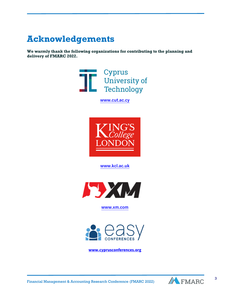# **Acknowledgements**

Ĩ

**We warmly thank the following organizations for contributing to the planning and delivery of FMARC 2022.**



**[www.cut.ac.cy](http://www.cut.ac.cy/)**



**[www.kcl.ac.uk](http://www.kcl.ac.uk/)**



**[www.xm.com](http://www.xm.com/)**



**[www.cyprusconferences.org](http://www.cyprusconferences.org/)**



Financial Management & Accounting Research Conference (FMARC 2022)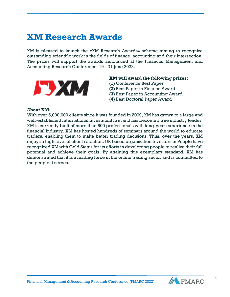## **XM Research Awards**

XM is pleased to launch the «XM Research Awards» scheme aiming to recognize outstanding scientific work in the fields of finance, accounting and their intersection. The prizes will support the awards announced at the Financial Management and Accounting Research Conference, 19 - 21 June 2022.



#### **XM will award the following prizes:**

- **(1)** Conference Best Paper
- **(2)** Best Paper in Finance Award
- **(3)** Best Paper in Accounting Award
- **(4)** Best Doctoral Paper Award

#### **About XM:**

Ĩ

With over 5,000,000 clients since it was founded in 2009, XM has grown to a large and well-established international investment firm and has become a true industry leader. XM is currently built of more than 600 professionals with long-year experience in the financial industry. XM has hosted hundreds of seminars around the world to educate traders, enabling them to make better trading decisions. Thus, over the years, XM enjoys a high level of client retention. UK based organization Investors in People have recognized XM with Gold Status for its efforts in developing people to realize their full potential and achieve their goals. By attaining this exemplary standard, XM has demonstrated that it is a leading force in the online trading sector and is committed to the people it serves.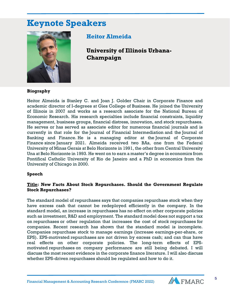## **Keynote Speakers**



## **Heitor Almeida**

**University of Illinois Urbana-Champaign** 

#### **Biography**

Ĩ

 Finance since January 2021. Almeida received two BAs, one from the Federal Heitor Almeida is Stanley C. and Joan J. Golder Chair in Corporate Finance and academic director of I-degrees at Gies College of Business. He joined the University of Illinois in 2007 and works as a research associate for the National Bureau of Economic Research. His research specialties include financial constraints, liquidity management, business groups, financial distress, innovation, and stock repurchases. He serves or has served as associate editor for numerous financial journals and is currently in that role for the Journal of Financial Intermediation and the Journal of Banking and Finance. He is a managing editor at the Journal of Corporate University of Minas Gerais at Belo Horizonte in 1991, the other from Central University Una at Belo Horizonte in 1993. He went on to earn a master's degree in economics from Pontifical Catholic University of Rio de Janeiro and a PhD in economics from the University of Chicago in 2000.

#### **Speech**

#### **Title: New Facts About Stock Repurchases. Should the Government Regulate Stock Repurchases?**

The standard model of repurchases says that companies repurchase stock when they have excess cash that cannot be redeployed efficiently in the company. In the standard model, an increase in repurchases has no effect on other corporate policies such as investment, R&D and employment. The standard model does not support a tax on repurchases or other regulation that increases the cost of stock repurchases for companies. Recent research has shown that the standard model is incomplete. Companies repurchase stock to manage earnings (increase earnings-per-share, or EPS). EPS-motivated repurchases are not driven by excess cash; and can thus have real effects on other corporate policies. The long-term effects of EPSmotivated repurchases on company performance are still being debated. I will discuss the most recent evidence in the corporate finance literature. I will also discuss whether EPS-driven repurchases should be regulated and how to do it.

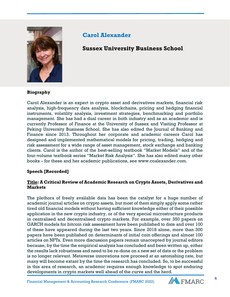

### **Carol Alexander**

### **Sussex University Business School**

### **Biography**

Carol Alexander is an expert in crypto asset and derivatives markets, financial risk analysis, high-frequency data analysis, blockchains, pricing and hedging financial instruments, volatility analysis, investment strategies, benchmarking and portfolio management. She has had a dual career in both industry and as an academic and is currently Professor of Finance at the University of Sussex and Visiting Professor at Peking University Business School. She has also edited the Journal of Banking and Finance since 2013. Throughout her corporate and academic careers Carol has designed and implemented mathematical models for pricing, trading, hedging and risk assessment for a wide range of asset management, stock exchange and banking clients. Carol is the author of the best-selling textbook "Market Models" and of the four-volume textbook series "Market Risk Analysis". She has also edited many other books – for these and her academic publications, see [www.coalexander.com.](http://www.coalexander.com/)

### **Speech [Recorded]**

### **Title: A Critical Review of Academic Research on Crypto Assets, Derivatives and Markets**

The plethora of freely available data has been the catalyst for a huge number of academic journal articles on crypto assets, but most of them simply apply some rather tired old financial models without having sufficient knowledge either of their possible application in the new crypto industry, or of the very special microstructure products in centralised and decentralised crypto markets. For example, over 350 papers on GARCH models for bitcoin risk assessment have been published to date and over 100 of these have appeared during the last two years. Since 2018 alone, more than 300 papers have been published on determinants of initial coin offerings and almost 100 articles on NFTs. Even more discussion papers remain unaccepted by journal editors because, by the time the empirical analysis has concluded and been written up, either the results lack robustness and need to be re-done on a new set of data or the problem is no longer relevant. Metaverse innovations now proceed at an astonishing rate, but many will become extant by the time the research has concluded. So, to be successful in this area of research, an academic requires enough knowledge to spot enduring developments in crypto markets well ahead of the curve and the herd.

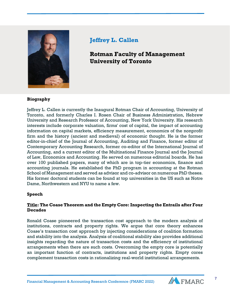

## **Jeffrey L. Callen**

**Rotman Faculty of Management University of Toronto**

### **Biography**

Ĩ

Jeffrey L. Callen is currently the Inaugural Rotman Chair of Accounting, University of Toronto, and formerly Charles I. Rosen Chair of Business Administration, Hebrew University and Research Professor of Accounting, New York University. His research interests include corporate valuation, firms' cost of capital, the impact of accounting information on capital markets, efficiency measurement, economics of the nonprofit firm and the history (ancient and medieval) of economic thought. He is the former editor-in-chief of the Journal of Accounting, Auditing and Finance, former editor of Contemporary Accounting Research, former co-editor of the International Journal of Accounting, and a current editor of the Multinational Finance Journal and the Journal of Law, Economics and Accounting. He served on numerous editorial boards. He has over 100 published papers, many of which are in top-tier economics, finance and accounting journals. He established the PhD program in accounting at the Rotman School of Management and served as advisor and co-advisor on numerous PhD theses. His former doctoral students can be found at top universities in the US such as Notre Dame, Northwestern and NYU to name a few.

### **Speech**

### **Title: The Coase Theorem and the Empty Core: Inspecting the Entrails after Four Decades**

Ronald Coase pioneered the transaction cost approach to the modern analysis of institutions, contracts and property rights. We argue that core theory enhances Coase's transaction cost approach by injecting considerations of coalition formation and stability into the analysis. Analysis of coalitional stability also provides additional insights regarding the nature of transaction costs and the efficiency of institutional arrangements when there are such costs. Overcoming the empty core is potentially an important function of contracts, institutions and property rights. Empty cores complement transaction costs in rationalizing real-world institutional arrangements.

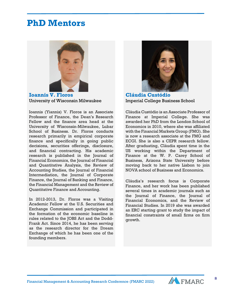## **PhD Mentors**

Ĩ



**Ioannis V. Floros** University of Wisconsin Milwaukee

Ioannis (Yiannis) V. Floros is an Associate Professor of Finance, the Dean's Research Fellow and the finance area head at the University of Wisconsin-Milwaukee, Lubar School of Business. Dr. Floros conducts research primarily in empirical corporate finance and specifically in going public decisions, securities offerings, disclosure, and financial contracting. His academic research is published in the Journal of Financial Economics, the Journal of Financial and Quantitative Analysis, the Review of Accounting Studies, the Journal of Financial Intermediation, the Journal of Corporate Finance, the Journal of Banking and Finance, the Financial Management and the Review of Quantitative Finance and Accounting.

In 2012-2013, Dr. Floros was a Visiting Academic Fellow at the U.S. Securities and Exchange Commission and participated in the formation of the economic baseline in rules related to the JOBS Act and the Dodd-Frank Act. Since 2014, he has been serving as the research director for the Dream Exchange of which he has been one of the founding members.



**Cláudia Custódio** Imperial College Business School

Cláudia Custódio is an Associate Professor of Finance at Imperial College. She was awarded her PhD from the London School of Economics in 2010, where she was affiliated with the Financial Markets Group (FMG). She is now a research associate at the FMG and ECGI. She is also a CEPR research fellow. After graduating, Cláudia spent time in the US working within the Department of Finance at the W. P. Carey School of Business, Arizona State University before moving back to her native Lisbon to join NOVA school of Business and Economics.

Cláudia's research focus is Corporate Finance, and her work has been published several times in academic journals such as the Journal of Finance, the Journal of Financial Economics, and the Review of Financial Studies. In 2019 she was awarded an ERC starting grant to study the impact of financial constraints of small firms on firm growth.

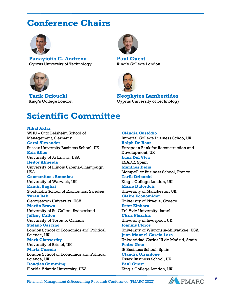## **Conference Chairs**



Ĩ

**Panayiotis C. Andreou** Cyprus University of Technology



**Tarik Driouchi** King's College London



**Paul Guest** King's College London



**Neophytos Lambertides** Cyprus University of Technology

## **Scientific Committee**

**Nihat Aktas** WHU – Otto Beisheim School of Management, Germany **Carol Alexander** Sussex University Business School, UK **Kris Allee** University of Arkansas, USA **Heitor Almeida** University of Illinois Urbana-Champaign, **USA Constantinos Antoniou** University of Warwick, UK **Ramin Baghai** Stockholm School of Economics, Sweden **Turan Bali** Georgetown University, USA **Martin Brown** University of St. Gallen, Switzerland **Jeffrey Callen** University of Toronto, Canada **Stefano Cascino** London School of Economics and Political Science, UK **Mark Clatworthy** University of Bristol, UK **Maria Correia** London School of Economics and Political Science, UK **Douglas Cumming** Florida Atlantic University, USA

**Cláudia Custódio** Imperial College Business Schoo, UK **Ralph De Haas** European Bank for Reconstruction and Development, UK **Luca Del Viva** ESADE, Spain **Manthos Delis** Montpellier Business School, France **Tarik Driouchi** King's College London, UK **Marie Dutordoir** University of Manchester, UK **Claire Economidou** University of Piraeus, Greece **Ester Einhorn** Tel Aviv University, Israel **Chris Florakis** University of Liverpool, UK **Ioannis Floros** University of Wisconsin-Milwaukee, USA **Juan Manuel García Lara** Universidad Carlos III de Madrid, Spain **Pedro Gete** IE Business School, Spain **Claudia Girardone** Essex Business School, UK **Paul Guest** King's College London, UK

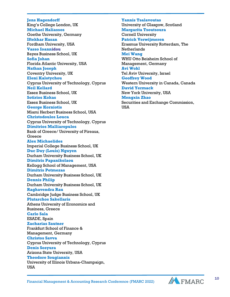**Jens Hagendorff** King's College London, UK **Michael Haliassos** Goethe University, Germany **Iftekhar Hasan** Fordham University, USA **Vasso Ioannidou** Bayes Business School, UK **Sofia Johan** Florida Atlantic University, USA **Nathan Joseph** Coventry University, UK **Eleni Kalotychou** Cyprus University of Technology, Cyprus **Neil Kellard** Essex Business School, UK **Sotirios Kokas** Essex Business School, UK **George Korniotis** Miami Herbert Business School, USA **Christodoulos Louca** Cyprus University of Technology, Cyprus **Dimitrios Malliaropulos** Bank of Greece/ University of Pireaus, Greece **Alex Michaelides** Imperial College Business School, UK **Duc Duy (Louis) Nguyen** Durham University Business School, UK **Dimitris Papanikolaou** Kellogg School of Management, USA **Dimitris Petmezas** Durham University Business School, UK **Dennis Philip** Durham University Business School, UK **Raghavendra Rau** Cambridge Judge Business School, UK **Plutarchos Sakellaris** Athens University of Economics and Business, Greece **Carlo Sala** ESADE, Spain **Zacharias Sautner** Frankfurt School of Finance & Management, Germany **Christos Savva** Cyprus University of Technology, Cyprus **Denis Sosyura** Arizona State University, USA **Theodore Sougiannis** University of Illinois Urbana-Champaign, USA

Ĩ

**Yannis Tsalavoutas** University of Glasgow, Scotland **Margarita Tsoutsoura** Cornell University **Patrick Verwijmeren** Erasmus University Rotterdam, The Netherlands **Mei Wang** WHU Otto Beisheim School of Management, Germany **Avi Wohl** Tel Aviv University, Israel **Geoffrey Wood** Western University in Canada, Canada **David Yermack** New York University, USA **Mengxin Zhao** Securities and Exchange Commission, USA



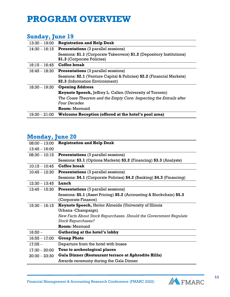## **PROGRAM OVERVIEW**

### **Sunday, June 19**

| $13:30 - 19:00$ | <b>Registration and Help Desk</b>                                                                             |
|-----------------|---------------------------------------------------------------------------------------------------------------|
| $14:30 - 16:15$ | <b>Presentations</b> (3 parallel sessions)                                                                    |
|                 | Sessions: S1.1 (Corporate Takeovers) S1.2 (Depository Institutions)<br><b>S1.3</b> (Corporate Policies)       |
| $16:15 - 16:45$ | <b>Coffee break</b>                                                                                           |
| $16:45 - 18:30$ | <b>Presentations</b> (3 parallel sessions)                                                                    |
|                 | Sessions: S2.1 (Venture Capital & Policies) S2.2 (Financial Markets)<br><b>S2.3</b> (Information Environment) |
| $18:30 - 19:30$ | <b>Opening Address</b>                                                                                        |
|                 | <b>Keynote Speech, Jeffrey L. Callen (University of Toronto)</b>                                              |
|                 | The Coase Theorem and the Empty Core: Inspecting the Entrails after<br><b>Four Decades</b>                    |
|                 | <b>Room:</b> Mermaid                                                                                          |
| $19:30 - 21:00$ | Welcome Reception (offered at the hotel's pool area)                                                          |

### **Monday, June 20**

| $08:00 - 13:00$ | <b>Registration and Help Desk</b>                                                              |
|-----------------|------------------------------------------------------------------------------------------------|
| $13:45 - 16:00$ |                                                                                                |
| $08:30 - 10:15$ | <b>Presentations</b> (3 parallel sessions)                                                     |
|                 | Sessions: S3.1 (Options Markets) S3.2 (Financing) S3.3 (Analysts)                              |
| $10:15 - 10:45$ | <b>Coffee break</b>                                                                            |
| $10:45-12:30$   | <b>Presentations</b> (3 parallel sessions)                                                     |
|                 | Sessions: S4.1 (Corporate Policies) S4.2 (Banking) S4.3 (Financing)                            |
| $12:30 - 13:45$ | Lunch                                                                                          |
| $13:45 - 15:30$ | <b>Presentations</b> (3 parallel sessions)                                                     |
|                 | Sessions: S5.1 (Asset Pricing) S5.2 (Accounting & Blockchain) S5.3<br>(Corporate Finance)      |
| $15:30 - 16:15$ | <b>Keynote Speech, Heitor Almeida (University of Illinois</b>                                  |
|                 | Urbana-Champaign)                                                                              |
|                 | New Facts About Stock Repurchases. Should the Government Regulate<br><b>Stock Repurchases?</b> |
|                 | <b>Room: Mermaid</b>                                                                           |
| $16:50 -$       | Gathering at the hotel's lobby                                                                 |
| $16:55 - 17:00$ | <b>Group Photo</b>                                                                             |
| $17:05-$        | Departure from the hotel with buses                                                            |
| $17:30-20:00$   | Tour to archeological places                                                                   |
| $20:30 - 23:30$ | Gala Dinner (Restaurant terrace at Aphrodite Hills)                                            |
|                 | Awards ceremony during the Gala Dinner                                                         |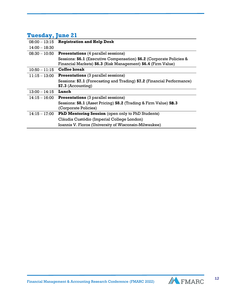## **Tuesday, June 21**

| $08:00 - 13:15$ | <b>Registration and Help Desk</b>                                                                                                               |
|-----------------|-------------------------------------------------------------------------------------------------------------------------------------------------|
| $14:00 - 18:30$ |                                                                                                                                                 |
| $08:30 - 10:50$ | <b>Presentations</b> (4 parallel sessions)                                                                                                      |
|                 | Sessions: <b>S6.1</b> (Executive Compensation) <b>S6.2</b> (Corporate Policies &<br>Financial Markets) S6.3 (Risk Management) S6.4 (Firm Value) |
| $10:50 - 11:15$ | Coffee break                                                                                                                                    |
| $11:15 - 13:00$ | <b>Presentations</b> (3 parallel sessions)                                                                                                      |
|                 | Sessions: S7.1 (Forecasting and Trading) S7.2 (Financial Performance)<br>S7.3 (Accounting)                                                      |
| $13:00 - 14:15$ | Lunch                                                                                                                                           |
| $14:15 - 16:00$ | <b>Presentations</b> (3 parallel sessions)                                                                                                      |
|                 | Sessions: S8.1 (Asset Pricing) S8.2 (Trading & Firm Value) S8.3<br>(Corporate Policies)                                                         |
| 14:15 – 17:00   | PhD Mentoring Session (open only to PhD Students)                                                                                               |
|                 | Cláudia Custódio (Imperial College London)                                                                                                      |
|                 | Ioannis V. Floros (University of Wisconsin-Milwaukee)                                                                                           |

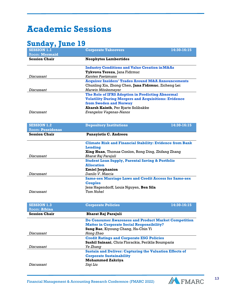## **Academic Sessions**

## **Sunday, June 19**

| Manaa I Land<br><b>SESSION 1.1</b><br>Room: Mermaid | <b>Corporate Takeovers</b>                                            | $14:30-16:15$ |
|-----------------------------------------------------|-----------------------------------------------------------------------|---------------|
| <b>Session Chair</b>                                | <b>Neophytos Lambertides</b>                                          |               |
|                                                     | <b>Industry Conditions and Value Creation in M&amp;As</b>             |               |
|                                                     | Tykvova Tereza, Jana Fidrmuc                                          |               |
| Discussant                                          | Karsten Paetzmann                                                     |               |
|                                                     | <b>Acquirer Insiders' Trades Around M&amp;A Announcements</b>         |               |
|                                                     | Chunling Xia, Zhong Chen, Jana Fidrmuc, Zicheng Lei                   |               |
| Discussant                                          | Marwin Mönkemeyer<br>The Role of IFRS Adoption in Predicting Abnormal |               |
|                                                     | <b>Volatility During Mergers and Acquisitions: Evidence</b>           |               |
|                                                     | from Sweden and Norway                                                |               |
|                                                     | Akarsh Kainth, Per Bjarte Solibakke                                   |               |
| Discussant                                          | Evangelos Vagenas-Nanos                                               |               |
|                                                     |                                                                       |               |
| <b>SESSION 1.2</b>                                  | <b>Depository Institutions</b>                                        | 14:30-16:15   |
| <b>Room: Poseidonas</b>                             |                                                                       |               |
| <b>Session Chair</b>                                | <b>Panayiotis C. Andreou</b>                                          |               |
|                                                     | <b>Climate Risk and Financial Stability: Evidence from Bank</b>       |               |
|                                                     | Lending                                                               |               |
|                                                     | Xing Huan, Thomas Conlon, Rong Ding, Zhifang Zhang                    |               |
| Discussant                                          | Bharat Raj Parajuli                                                   |               |
|                                                     | <b>Student Loan Supply, Parental Saving &amp; Portfolio</b>           |               |
|                                                     | <b>Allocation</b>                                                     |               |
|                                                     | <b>Emiel Jerphanion</b>                                               |               |
| Discussant                                          | Danilo V. Mascia                                                      |               |
|                                                     | <b>Same-sex Marriage Laws and Credit Access for Same-sex</b>          |               |
|                                                     | <b>Couples</b><br>Jens Hagendorff, Louis Nguyen, Ben Sila             |               |
| Discussant                                          | <b>Tom Nohel</b>                                                      |               |
|                                                     |                                                                       |               |
|                                                     |                                                                       |               |
| <b>SESSION 1.3</b>                                  | <b>Corporate Policies</b>                                             | 14:30-16:15   |
| Room: Athina                                        |                                                                       |               |
| <b>Session Chair</b>                                | <b>Bharat Raj Parajuli</b>                                            |               |
|                                                     | <b>Do Consumer Awareness and Product Market Competition</b>           |               |
|                                                     | <b>Matter in Corporate Social Responsibility?</b>                     |               |
|                                                     | Sung Bae, Kiyoung Chang, Ha-Chin Yi                                   |               |
| Discussant                                          | Hong Zhao                                                             |               |
|                                                     | <b>Credit Ratings and Corporate ESG Policies</b>                      |               |
|                                                     | Sushil Sainani, Chris Florackis, Periklis Boumparis                   |               |
| Discussant                                          | Ye Zhang                                                              |               |
|                                                     | <b>Sustain and Deliver: Capturing the Valuation Effects of</b>        |               |
|                                                     | <b>Corporate Sustainability</b>                                       |               |
| Discussant                                          | <b>Mohammed Zakriya</b>                                               |               |
|                                                     | Siqi Liu                                                              |               |

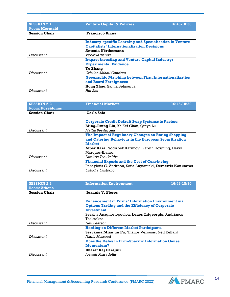| <b>SESSION 2.1</b>      | <b>Venture Capital &amp; Policies</b>                           | 16:45-18:30 |
|-------------------------|-----------------------------------------------------------------|-------------|
| Room: Mermaid           |                                                                 |             |
| <b>Session Chair</b>    | <b>Francisco Urzua</b>                                          |             |
|                         | <b>Industry-specific Learning and Specialization in Venture</b> |             |
|                         | <b>Capitalists' Internationalization Decisions</b>              |             |
|                         | <b>Antonia Nörthemann</b>                                       |             |
| <b>Discussant</b>       | Tvkvova Tereza                                                  |             |
|                         | <b>Impact Investing and Venture Capital Industry:</b>           |             |
|                         | <b>Experimental Evidence</b>                                    |             |
|                         | Ye Zhang                                                        |             |
| Discussant              | Cristian-Mihail Condrea                                         |             |
|                         | <b>Geographic Matching between Firm Internationalization</b>    |             |
|                         | and Board Foreignness                                           |             |
|                         | Hong Zhao, Samia Belaounia                                      |             |
| Discussant              | Hui Zhu                                                         |             |
|                         |                                                                 |             |
| <b>SESSION 2.2</b>      | <b>Financial Markets</b>                                        | 16:45-18:30 |
| <b>Room: Poseidonas</b> |                                                                 |             |
| <b>Session Chair</b>    | Carlo Sala                                                      |             |
|                         | <b>Corporate Credit Default Swap Systematic Factors</b>         |             |
|                         | Ming-Tsung Lin, Ka Kei Chan, Qinye Lu                           |             |
| Discussant              | Mattia Bevilacqua                                               |             |
|                         | The Impact of Regulatory Changes on Rating Shopping             |             |
|                         | and Catering Behaviour in the European Securitisation           |             |
|                         | <b>Market</b>                                                   |             |
|                         | Alper Kara, Nodirbek Karimov, Gareth Downing, David             |             |
|                         | Marques-Ibanez                                                  |             |
| Discussant              | Dimitris Tsouknidis                                             |             |
|                         | <b>Financial Experts and the Cost of Convincing</b>             |             |
|                         | Panayiotis C. Andreou, Sofia Anyfantaki, Demetris Koursaros     |             |
| Discussant              | Cláudia Custódio                                                |             |
|                         |                                                                 |             |
| <b>SESSION 2.3</b>      | <b>Information Environment</b>                                  | 16:45-18:30 |
| Room: Athena            |                                                                 |             |
| <b>Session Chair</b>    | <b>Ioannis V. Floros</b>                                        |             |
|                         | <b>Enhancement in Firms' Information Environment via</b>        |             |
|                         | <b>Options Trading and the Efficiency of Corporate</b>          |             |
|                         | Investment                                                      |             |
|                         | Seraina Anagnostopoulou, Lenos Trigeorgis, Andrianos            |             |
|                         | Tsekrekos                                                       |             |
| Discussant              | <i>Neil Pearson</i>                                             |             |
|                         | <b>Herding on Different Market Participants</b>                 |             |
|                         | Servanna Mianjun Fu, Thanos Verousis, Neil Kellard              |             |
| Discussant              | Nadia Massoud                                                   |             |
|                         | Does the Delay in Firm-Specific Information Cause               |             |
|                         | <b>Momentum?</b>                                                |             |
|                         | <b>Bharat Raj Parajuli</b>                                      |             |
| Discussant              | <i>Ioannis Psaradellis</i>                                      |             |
|                         |                                                                 |             |

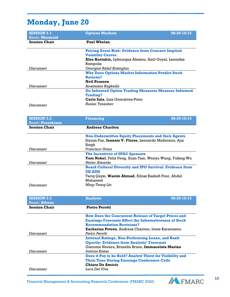## **Monday, June 20**

| <b>SESSION 3.1</b><br>Room: Mermaid | <b>Options Markets</b><br>08:30-10:15                                            |  |
|-------------------------------------|----------------------------------------------------------------------------------|--|
| <b>Session Chair</b>                | <b>Paul Whelan</b>                                                               |  |
|                                     | <b>Pricing Event Risk: Evidence from Concave Implied</b>                         |  |
|                                     | <b>Volatility Curves</b>                                                         |  |
|                                     | Alex Kostakis, Lykourgos Alexiou, Amit Goyal, Leonidas                           |  |
| Discussant                          | Rompolis<br>Georgios Rafail Kostoglou                                            |  |
|                                     | <b>Why Does Options Market Information Predict Stock</b>                         |  |
|                                     | Returns?                                                                         |  |
|                                     | <b>Neil Pearson</b>                                                              |  |
| Discussant                          | Anastasios Kagkadis                                                              |  |
|                                     | <b>Do Informed Option Trading Measures Measure Informed</b>                      |  |
|                                     | <b>Trading?</b>                                                                  |  |
|                                     | Carlo Sala, Luis Goncalves-Pinto                                                 |  |
| Discussant                          | Ruslan Tuneshev                                                                  |  |
|                                     |                                                                                  |  |
|                                     |                                                                                  |  |
|                                     |                                                                                  |  |
| <b>SESSION 3.2</b>                  | 08:30-10:15<br><b>Financing</b>                                                  |  |
| <b>Room: Poseidonas</b>             |                                                                                  |  |
| <b>Session Chair</b>                | <b>Andreas Charitou</b>                                                          |  |
|                                     | <b>Non-Underwritten Equity Placements and their Agents</b>                       |  |
|                                     | Siyuan Fan, Ioannis V. Floros, Leonardo Madureira, Ajai                          |  |
|                                     | Singh                                                                            |  |
| Discussant                          | Francisco Urzua                                                                  |  |
|                                     | <b>The Incentives of SPAC Sponsors</b>                                           |  |
|                                     | Tom Nohel, Felix Feng, Xuan Tian, Wenyu Wang, Yufeng Wu                          |  |
| Discussant                          | Heitor Almeida                                                                   |  |
|                                     | <b>Board Cultural Diversity and IPO Survival: Evidence from</b><br><b>UK AIM</b> |  |
|                                     | Tariq Qaysi, Wasim Ahmad, Eilnaz Kashefi Pour, Abdul                             |  |
|                                     | Mohamed                                                                          |  |
| Discussant                          | Ming-Tsung Lin                                                                   |  |
|                                     |                                                                                  |  |

| Room: Athena         | aaaskaa y wew                                                 |
|----------------------|---------------------------------------------------------------|
| <b>Session Chair</b> | <b>Pietro Perotti</b>                                         |
|                      | <b>How Does the Concurrent Release of Target Prices and</b>   |
|                      | <b>Earnings Forecasts Affect the Informativeness of Stock</b> |
|                      | <b>Recommendation Revisions?</b>                              |
|                      | <b>Zacharias Petrou, Andreas Charitou, Irene Karamanou</b>    |
| Discussant           | Pietro Perotti                                                |
|                      | <b>Internal Ratings, Non-Performing Loans, and Bank</b>       |
|                      | <b>Opacity: Evidence from Analysts' Forecasts</b>             |
|                      | Giacomo Nocera, Brunella Bruno, Immacolata Marino             |
| Discussant           | Sotirios Kokas                                                |
|                      | Does it Pay to be Bold? Analyst Thirst for Visibility and     |
|                      | <b>Their Tone During Earnings Conference Calls</b>            |
|                      | <b>Chiara De Amicis</b>                                       |
| Discussant           | Luca Del Viva                                                 |



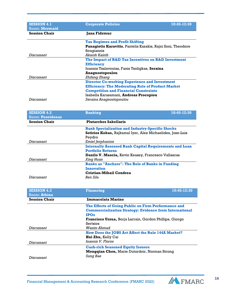| <b>SESSION 4.1</b>      | <b>Corporate Policies</b><br>10:45-12:30                      |
|-------------------------|---------------------------------------------------------------|
| Room: Mermaid           |                                                               |
| <b>Session Chair</b>    | <b>Jana Fidrmuc</b>                                           |
|                         | <b>Tax Regimes and Profit Shifting</b>                        |
|                         | Panagiotis Karavitis, Pantelis Kazakis, Rajni Soni, Theodore  |
|                         | Sougiannis                                                    |
| Discussant              | Akarsh Kainth                                                 |
|                         | The Impact of R&D Tax Incentives on R&D Investment            |
|                         | <b>Efficiency</b>                                             |
|                         | Ioannis Tsalavoutas, Fanis Tsoligkas, Seraina                 |
|                         | <b>Anagnostopoulou</b>                                        |
| <b>Discussant</b>       | Zhifang Zhang                                                 |
|                         | <b>Director Co-working Experience and Investment</b>          |
|                         | <b>Efficiency: The Moderating Role of Product Market</b>      |
|                         | <b>Competition and Financial Constraints</b>                  |
|                         | Isabella Karasamani, Andreas Procopiou                        |
| <b>Discussant</b>       | Seraina Anagnostopoulou                                       |
|                         |                                                               |
| <b>SESSION 4.2</b>      | 10:45-12:30<br><b>Banking</b>                                 |
| <b>Room: Poseidonas</b> |                                                               |
| <b>Session Chair</b>    | <b>Plutarchos Sakellaris</b>                                  |
|                         | <b>Bank Specialization and Industry-Specific Shocks</b>       |
|                         | Sotirios Kokas, Rajkamal Iyer, Alex Michaelides, Jose-Luis    |
|                         | Peydro                                                        |
| <b>Discussant</b>       | Emiel Jerphanion                                              |
|                         | <b>Internally Assessed Bank Capital Requirements and Loan</b> |
|                         | <b>Portfolio Returns</b>                                      |
|                         | Danilo V. Mascia, Kevin Keasey, Francesco Vallascas           |
| <b>Discussant</b>       | Xing Huan                                                     |
|                         | <b>Banks as "Anchors": The Role of Banks in Funding</b>       |
|                         | <b>Innovation</b>                                             |
|                         | <b>Cristian-Mihail Condrea</b>                                |
| <b>Discussant</b>       | Ben Sila                                                      |

| <b>SESSION 4.3</b><br>Room: Athina | <b>Financing</b>                                                                | 10:45-12:30 |
|------------------------------------|---------------------------------------------------------------------------------|-------------|
| <b>Session Chair</b>               | Immacolata Marino                                                               |             |
|                                    | The Effects of Going Public on Firm Performance and                             |             |
|                                    | <b>Commercialization Strategy: Evidence from International</b><br><b>IPOs</b>   |             |
|                                    | <b>Francisco Urzua, Borja Larrain, Gordon Phillips, Giorgo</b>                  |             |
|                                    | Sertsios                                                                        |             |
| Discussant                         | Wasim Ahmad                                                                     |             |
|                                    | How Does the JOBS Act Affect the Rule 144A Market?<br><b>Hui Zhu, Kelly Cai</b> |             |
| Discussant                         | <i>Ioannis V. Floros</i>                                                        |             |
|                                    | <b>Cash-rich Seasoned Equity Issuers</b>                                        |             |
|                                    | <b>Mengqian Chen, Marie Dutordoir, Norman Strong</b>                            |             |
| Discussant                         | Sung Bae                                                                        |             |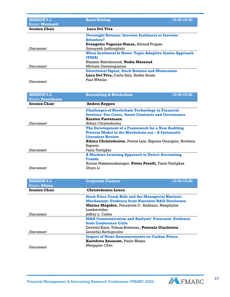| <b>SESSION 5.1</b><br>Room: Mermaid | <b>Asset Pricing</b>                                          | 13:45-15:30 |
|-------------------------------------|---------------------------------------------------------------|-------------|
| <b>Session Chair</b>                | Luca Del Viva                                                 |             |
|                                     | <b>Overnight Returns: Investor Sentiment or Investor</b>      |             |
|                                     | <b>Attention?</b>                                             |             |
|                                     | Evangelos Vagenas-Nanos, Ahmed Prapan                         |             |
| Discussant                          | Somayyeh Lotfinoghabi                                         |             |
|                                     | <b>When Sentiment Is News: Topic-Adaptive Syntax Approach</b> |             |
|                                     | (TASA)                                                        |             |
|                                     | Nazanin Babolmorad, <b>Nadia Massoud</b>                      |             |
| Discussant                          | <i>Michalis Stamatogiannis</i>                                |             |
|                                     | <b>Directional Signal, Stock Returns and Momentum</b>         |             |
|                                     | Luca Del Viva, Carlo Sala, Andre Souza                        |             |
| Discussant                          | Paul Whelan                                                   |             |

| <b>SESSION 5.2</b><br><b>Room: Poseidonas</b> | <b>Accounting &amp; Blockchain</b>                             | 13:45-15:30 |
|-----------------------------------------------|----------------------------------------------------------------|-------------|
| <b>Session Chair</b>                          | <b>Anders Reppen</b>                                           |             |
|                                               | <b>Challenges of Blockchain Technology in Financial</b>        |             |
|                                               | <b>Services: Use Cases, Smart Contracts and Governance</b>     |             |
|                                               | <b>Karsten Paetzmann</b>                                       |             |
| Discussant                                    | Athina Christodoulou                                           |             |
|                                               | The Development of a Framework for a New Auditing              |             |
|                                               | <b>Process Model in the Blockchain era - A Systematic</b>      |             |
|                                               | <b>Literature Review</b>                                       |             |
|                                               | Athina Christodoulou, Petros Lois, Ifigenia Georgiou, Svetlana |             |
|                                               | Sapuric                                                        |             |
| Discussant                                    | <i>Fanis Tsoligkas</i>                                         |             |
|                                               | <b>A Machine Learning Approach to Detect Accounting</b>        |             |
|                                               | <b>Frauds</b>                                                  |             |
|                                               | Arman Hassanniakalager, Pietro Perotti, Fanis Tsoligkas        |             |
| Discussant                                    | Shuyu Li                                                       |             |

| <b>SESSION 5.3</b><br>Room: Athina | <b>Corporate Finance</b>                                       | 13:45-15:30 |
|------------------------------------|----------------------------------------------------------------|-------------|
| <b>Session Chair</b>               | Christodoulos Louca                                            |             |
|                                    | <b>Stock Price Crash Risk and the Managerial Rhetoric</b>      |             |
|                                    | <b>Mechanism: Evidence from Narrative R&amp;D Disclosure</b>   |             |
|                                    | <b>Marina Magidou, Panayiotis C. Andreou, Neophytos</b>        |             |
|                                    | Lambertides                                                    |             |
| Discussant                         | Jeffrey L. Callen                                              |             |
|                                    | <b>M&amp;A Communication and Analysts' Forecasts: Evidence</b> |             |
|                                    | from Conference Calls                                          |             |
|                                    | Devrimi Kaya, Tobias Boehmer, Petroula Glachtsiou              |             |
| Discussant                         | <i>Leonidas Barbopoulos</i>                                    |             |
|                                    | <b>Impact of News Announcements on Carbon Prices</b>           |             |
|                                    | Karishma Ansaram, Paolo Mazza                                  |             |
| Discussant                         | Menggian Chen                                                  |             |

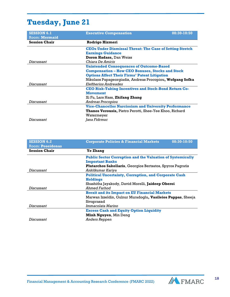## **Tuesday, June 21**

| <b>SESSION 6.1</b>   | <b>Executive Compensation</b><br>08:30-10:50                    |  |
|----------------------|-----------------------------------------------------------------|--|
| Room: Mermaid        |                                                                 |  |
| <b>Session Chair</b> | <b>Rodrigo Hizmeri</b>                                          |  |
|                      | <b>CEOs Under Dismissal Threat: The Case of Setting Stretch</b> |  |
|                      | <b>Earnings Guidance</b>                                        |  |
|                      | <b>Doron Hadass, Dan Weiss</b>                                  |  |
| Discussant           | Chiara De Amicis                                                |  |
|                      | <b>Unintended Consequences of Outcome-Based</b>                 |  |
|                      | <b>Compensation - How CEO Bonuses, Stocks and Stock</b>         |  |
|                      | <b>Options Affect Their Firms' Patent Litigation</b>            |  |
|                      | Nikolaos Papageorgiadis, Andreas Procopiou, Wofgang Sofka       |  |
| Discussant           | Eleftherios Andreades                                           |  |
|                      | <b>CEO Risk-Taking Incentives and Stock-Bond Return Co-</b>     |  |
|                      | <b>Movement</b>                                                 |  |
|                      | Xi Fu, Lars Hass, <b>Zhifang Zhang</b>                          |  |
| Discussant           | Andreas Procopiou                                               |  |
|                      | <b>Vice-Chancellor Narcissism and University Performance</b>    |  |
|                      | <b>Thanos Verousis, Pietro Perotti, Shee-Yee Khoo, Richard</b>  |  |
|                      | Watermeyer                                                      |  |
| Discussant           | Jana Fidrmuc                                                    |  |

| <b>SESSION 6.2</b>      | 08:30-10:50<br><b>Corporate Policies &amp; Financial Markets</b>  |
|-------------------------|-------------------------------------------------------------------|
| <b>Room: Poseidonas</b> |                                                                   |
| <b>Session Chair</b>    | <b>Ye Zhang</b>                                                   |
|                         | <b>Public Sector Corruption and the Valuation of Systemically</b> |
|                         | <b>Important Banks</b>                                            |
|                         | <b>Plutarchos Sakellaris, Georgios Bertsatos, Spyros Pagratis</b> |
| Discussant              | Ankitkumar Kariya                                                 |
|                         | <b>Political Uncertainty, Corruption, and Corporate Cash</b>      |
|                         | <b>Holdings</b>                                                   |
|                         | Shashitha Jayakody, David Morelli, <b>Jaideep Oberoi</b>          |
| Discussant              | Ahmed Farhod                                                      |
|                         | <b>Brexit and its Impact on EU Financial Markets</b>              |
|                         | Marwan Izzeldin, Gulnur Muradoglu, Vasileios Pappas, Sheeja       |
|                         | Sivaprasad                                                        |
| Discussant              | Immacolata Marino                                                 |
|                         | <b>Excess Cash and Equity Option Liquidity</b>                    |
|                         | <b>Minh Nguyen, Min Deng</b>                                      |
| Discussant              | Anders Reppen                                                     |

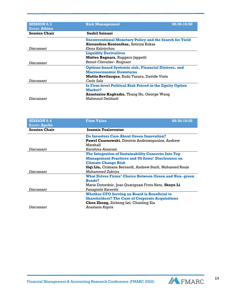| <b>SESSION 6.3</b><br>Room: Athina | <b>Risk Management</b>                                         | 08:30-10:50 |
|------------------------------------|----------------------------------------------------------------|-------------|
| <b>Session Chair</b>               | <b>Sushil Sainani</b>                                          |             |
|                                    | <b>Unconventional Monetary Policy and the Search for Yield</b> |             |
|                                    | Alexandros Kontonikas, Sotirios Kokas                          |             |
| Discussant                         | Elena Kalotychou                                               |             |
|                                    | <b>Liquidity Derivatives</b>                                   |             |
|                                    | Matteo Bagnara, Ruggero Jappelli                               |             |
| Discussant                         | <b>Benoit Chevalier- Roignant</b>                              |             |
|                                    | <b>Options-based Systemic risk, Financial Distress, and</b>    |             |
|                                    | <b>Macroeconomic Downturns</b>                                 |             |
|                                    | <b>Mattia Bevilacqua, Radu Tunaru, Davide Vioto</b>            |             |
| Discussant                         | Carlo Sala                                                     |             |
|                                    | Is Firm-level Political Risk Priced in the Equity Option       |             |
|                                    | Market?                                                        |             |
|                                    | <b>Anastasios Kagkadis, Thang Ho, George Wang</b>              |             |
| Discussant                         | Mahmoud Delshadi                                               |             |

| <b>SESSION 6.4</b>   | <b>Firm Value</b><br>08:30-10:50                              |
|----------------------|---------------------------------------------------------------|
| Room: Apollo         |                                                               |
| <b>Session Chair</b> | <b>Ioannis Tsalavoutas</b>                                    |
|                      | <b>Do Investors Care About Green Innovation?</b>              |
|                      | Pawel Czarnowski, Dimitris Andriosopoulos, Andrew             |
|                      | Marshall                                                      |
| Discussant           | Karishma Ansaram                                              |
|                      | The Integration of Sustainability Concerns Into Top           |
|                      | <b>Management Practices and US firms' Disclosures on</b>      |
|                      | <b>Climate Change Risk</b>                                    |
|                      | Siqi Liu, Cristiana Bernardi, Andrew Stark, Mohamed Rouis     |
| Discussant           | Mohammed Zakriya                                              |
|                      | <b>What Drives Firms' Choice Between Green and Non- green</b> |
|                      | <b>Bonds?</b>                                                 |
|                      | Marie Dutordoir, Joao Quariquasi Frota Neto, <b>Shuyu Li</b>  |
| Discussant           | Panagiotis Karavitis                                          |
|                      | <b>Whether CFO Serving on Board is Beneficial to</b>          |
|                      | <b>Shareholders? The Case of Corporate Acquisitions</b>       |
|                      | Chen Zhong, Zicheng Lei, Chunling Xia                         |
| Discussant           | Anastasia Kopita                                              |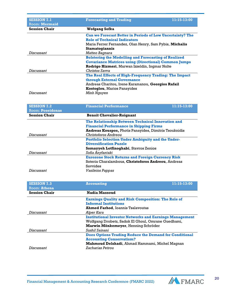| <b>SESSION 7.1</b><br><b>Room: Mermaid</b> | <b>Forecasting and Trading</b>                                   | 11:15-13:00 |
|--------------------------------------------|------------------------------------------------------------------|-------------|
| <b>Session Chair</b>                       | Wofgang Sofka                                                    |             |
|                                            | <b>Can we Forecast Better in Periods of Low Uncertainty? The</b> |             |
|                                            | <b>Role of Technical Indicators</b>                              |             |
|                                            | Maria Ferrer Fernandez, Olan Henry, Sam Pybis, Michalis          |             |
|                                            | Stamatogiannis                                                   |             |
| Discussant                                 | <i>Matteo Bagnara</i>                                            |             |
|                                            | <b>Bolstering the Modelling and Forecasting of Realized</b>      |             |
|                                            | <b>Covariance Matrices using (Directional) Common Jumps</b>      |             |
|                                            | Rodrigo Hizmeri, Marwan Izzeldin, Ingmar Nolte                   |             |
| Discussant                                 | Christos Savva                                                   |             |
|                                            | The Real Effects of High-Frequency Trading: The Impact           |             |
|                                            | through External Governance                                      |             |
|                                            | Andreas Charitou, Irene Karamanou, Georgios Rafail               |             |
|                                            | <b>Kostoglou, Marios Panayides</b>                               |             |
| Discussant                                 | Minh Nguyen                                                      |             |

| <b>SESSION 7.2</b><br>Room: <b>Poseidonas</b> | <b>Financial Performance</b>                                  | 11:15-13:00 |
|-----------------------------------------------|---------------------------------------------------------------|-------------|
| <b>Session Chair</b>                          | <b>Benoit Chevalier-Roignant</b>                              |             |
|                                               | The Relationship Between Technical Innovation and             |             |
|                                               | <b>Financial Performance in Shipping Firms</b>                |             |
|                                               | <b>Andreas Kouspos, Photis Panayides, Dimitris Tsouknidis</b> |             |
| Discussant                                    | Christoforos Andreou                                          |             |
|                                               | <b>Portfolio Selection Under Ambiguity and the Under-</b>     |             |
|                                               | <b>Diversification Puzzle</b>                                 |             |
|                                               | Somayyeh Lotfinoghabi, Stavros Zenios                         |             |
| Discussant                                    | Sofia Anyfantaki                                              |             |
|                                               | <b>Eurozone Stock Returns and Foreign Currency Risk</b>       |             |
|                                               | Soteria Charalambous, Christoforos Andreou, Andreas           |             |
|                                               | Savvides                                                      |             |
| Discussant                                    | <i>Vasileios Pappas</i>                                       |             |

| <b>SESSION 7.3</b>   | 11:15-13:00<br><b>Accounting</b>                               |  |
|----------------------|----------------------------------------------------------------|--|
| Room: Athena         |                                                                |  |
| <b>Session Chair</b> | <b>Nadia Massoud</b>                                           |  |
|                      | <b>Earnings Quality and Risk Composition: The Role of</b>      |  |
|                      | <b>Informal Institutions</b>                                   |  |
|                      | <b>Ahmed Farhod, Ioannis Tsalavoutas</b>                       |  |
| Discussant           | Alper Kara                                                     |  |
|                      | <b>Institutional Investor Networks and Earnings Management</b> |  |
|                      | Wolfgang Drobetz, Sadok El Ghoul, Omrane Guedhami,             |  |
|                      | Marwin Mönkemeyer, Henning Schröder                            |  |
| Discussant           | Sushil Sainani                                                 |  |
|                      | <b>Does Options Trading Reduce the Demand for Conditional</b>  |  |
|                      | <b>Accounting Conservatism?</b>                                |  |
|                      | <b>Mahmoud Delshadi</b> , Ahmad Hammami, Michel Magnan         |  |
| Discussant           | <i><b>Zacharias Petrou</b></i>                                 |  |



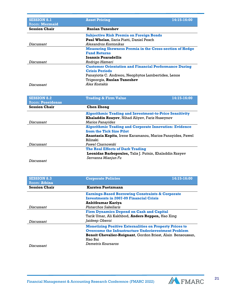| <b>SESSION 8.1</b><br>Room: Mermaid | <b>Asset Pricing</b>                                           | 14:15-16:00 |
|-------------------------------------|----------------------------------------------------------------|-------------|
| <b>Session Chair</b>                | <b>Ruslan Tuneshev</b>                                         |             |
|                                     | <b>Subjective Risk Premia on Foreign Bonds</b>                 |             |
|                                     | Paul Whelan, Ilaria Piatti, Daniel Pesch                       |             |
| Discussant                          | Alexandros Kontonikas                                          |             |
|                                     | <b>Measuring Skewness Premia in the Cross-section of Hedge</b> |             |
|                                     | <b>Fund Returns</b>                                            |             |
|                                     | <b>Ioannis Psaradellis</b>                                     |             |
| Discussant                          | Rodrigo Hizmeri                                                |             |
|                                     | <b>Customer Orientation and Financial Performance During</b>   |             |
|                                     | <b>Crisis Periods</b>                                          |             |
|                                     | Panayiotis C. Andreou, Neophytos Lambertides, Lenos            |             |
|                                     | Trigeorgis, Ruslan Tuneshev                                    |             |
| Discussant                          | Alex Kostakis                                                  |             |

| <b>SESSION 8.2</b><br><b>Room: Poseidonas</b> | <b>Trading &amp; Firm Value</b>                                | 14:15-16:00 |
|-----------------------------------------------|----------------------------------------------------------------|-------------|
| <b>Session Chair</b>                          | <b>Chen Zhong</b>                                              |             |
|                                               | <b>Algorithmic Trading and Investment-to-Price Sensitivity</b> |             |
|                                               | Khaladdin Rzayev, Nihad Aliyev, Fariz Huseynov                 |             |
| Discussant                                    | <i><b>Marios Panavides</b></i>                                 |             |
|                                               | <b>Algorithmic Trading and Corporate Innovation: Evidence</b>  |             |
|                                               | from the Tick Size Pilot                                       |             |
|                                               | Anastasia Kopita, Irene Karamanou, Marios Panayides, Pawel     |             |
|                                               | Bilinski                                                       |             |
| Discussant                                    | <i>Pawel Czarnowski</i>                                        |             |
|                                               | The Real Effects of Dark Trading                               |             |
|                                               | Leonidas Barbopoulos, Talis J. Putnin, Khaladdin Rzayev        |             |
|                                               | Servanna Mianjun Fu                                            |             |
| Discussant                                    |                                                                |             |

| <b>SESSION 8.3</b><br>Room: Athina | <b>Corporate Policies</b>                                      | 14:15-16:00 |
|------------------------------------|----------------------------------------------------------------|-------------|
| <b>Session Chair</b>               | <b>Karsten Paetzmann</b>                                       |             |
|                                    | <b>Earnings-Based Borrowing Constraints &amp; Corporate</b>    |             |
|                                    | <b>Investments in 2007-09 Financial Crisis</b>                 |             |
|                                    | Ankitkumar Kariya                                              |             |
| Discussant                         | Plutarchos Sakellaris                                          |             |
|                                    | <b>Firm Dynamics Depend on Cash and Capital</b>                |             |
|                                    | Tarik Umar, Ali Kakhbod, Anders Reppen, Hao Xing               |             |
| Discussant                         | Jaideep Oberoi                                                 |             |
|                                    | <b>Monetizing Positive Externalities on Property Prices to</b> |             |
|                                    | <b>Overcome the Infrastructure Underinvestment Problem</b>     |             |
|                                    | Benoit Chevalier-Roignant, Gordon Briest, Alain Bensoussan,    |             |
|                                    | Hao Bai                                                        |             |
| Discussant                         | Demetris Koursaros                                             |             |